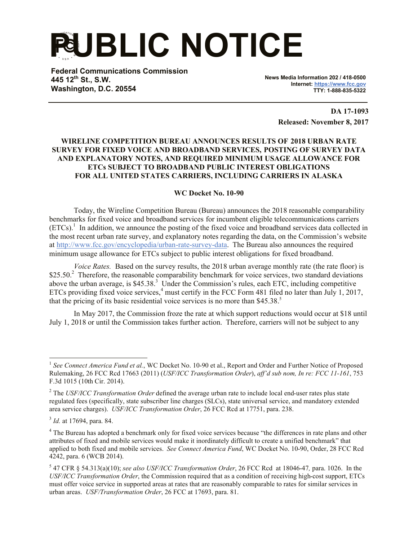## **PUBLIC NOTICE**

**Federal Communications Commission 445 12th St., S.W. Washington, D.C. 20554**

**News Media Information 202 / 418-0500 Internet: https://www.fcc.gov TTY: 1-888-835-5322**

> **DA 17-1093 Released: November 8, 2017**

## **WIRELINE COMPETITION BUREAU ANNOUNCES RESULTS OF 2018 URBAN RATE SURVEY FOR FIXED VOICE AND BROADBAND SERVICES, POSTING OF SURVEY DATA AND EXPLANATORY NOTES, AND REQUIRED MINIMUM USAGE ALLOWANCE FOR ETCs SUBJECT TO BROADBAND PUBLIC INTEREST OBLIGATIONS FOR ALL UNITED STATES CARRIERS, INCLUDING CARRIERS IN ALASKA**

## **WC Docket No. 10-90**

Today, the Wireline Competition Bureau (Bureau) announces the 2018 reasonable comparability benchmarks for fixed voice and broadband services for incumbent eligible telecommunications carriers  $(ETCs)$ .<sup>1</sup> In addition, we announce the posting of the fixed voice and broadband services data collected in the most recent urban rate survey, and explanatory notes regarding the data, on the Commission's website at http://www.fcc.gov/encyclopedia/urban-rate-survey-data. The Bureau also announces the required minimum usage allowance for ETCs subject to public interest obligations for fixed broadband.

*Voice Rates.* Based on the survey results, the 2018 urban average monthly rate (the rate floor) is \$25.50.<sup>2</sup> Therefore, the reasonable comparability benchmark for voice services, two standard deviations above the urban average, is  $$45.38$ .<sup>3</sup> Under the Commission's rules, each ETC, including competitive ETCs providing fixed voice services,<sup>4</sup> must certify in the FCC Form 481 filed no later than July 1, 2017, that the pricing of its basic residential voice services is no more than \$45.38. 5

In May 2017, the Commission froze the rate at which support reductions would occur at \$18 until July 1, 2018 or until the Commission takes further action. Therefore, carriers will not be subject to any

<sup>&</sup>lt;sup>1</sup> See Connect America Fund et al., WC Docket No. 10-90 et al., Report and Order and Further Notice of Proposed Rulemaking, 26 FCC Rcd 17663 (2011) (*USF/ICC Transformation Order*), *aff'd sub nom, In re: FCC 11-161*, 753 F.3d 1015 (10th Cir. 2014).

<sup>2</sup> The *USF/ICC Transformation Order* defined the average urban rate to include local end-user rates plus state regulated fees (specifically, state subscriber line charges (SLCs), state universal service, and mandatory extended area service charges). *USF/ICC Transformation Order*, 26 FCC Rcd at 17751, para. 238.

<sup>3</sup> *Id.* at 17694, para. 84.

<sup>&</sup>lt;sup>4</sup> The Bureau has adopted a benchmark only for fixed voice services because "the differences in rate plans and other attributes of fixed and mobile services would make it inordinately difficult to create a unified benchmark" that applied to both fixed and mobile services. *See Connect America Fund*, WC Docket No. 10-90, Order, 28 FCC Rcd 4242, para. 6 (WCB 2014).

<sup>5</sup> 47 CFR § 54.313(a)(10); *see also USF/ICC Transformation Order*, 26 FCC Rcd at 18046-47*,* para. 1026. In the *USF/ICC Transformation Order*, the Commission required that as a condition of receiving high-cost support, ETCs must offer voice service in supported areas at rates that are reasonably comparable to rates for similar services in urban areas. *USF/Transformation Order*, 26 FCC at 17693, para. 81.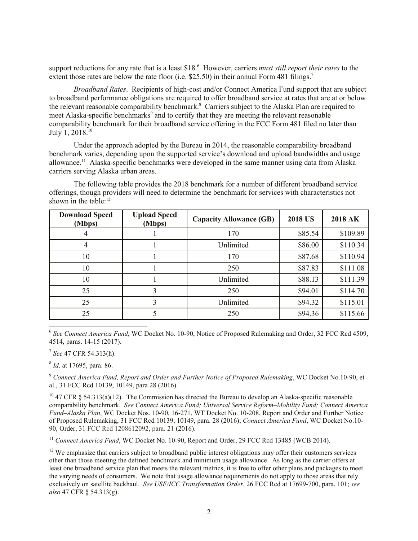support reductions for any rate that is a least \$18.<sup>6</sup> However, carriers *must still report their rates* to the extent those rates are below the rate floor (i.e. \$25.50) in their annual Form 481 filings.<sup>7</sup>

*Broadband Rates*. Recipients of high-cost and/or Connect America Fund support that are subject to broadband performance obligations are required to offer broadband service at rates that are at or below the relevant reasonable comparability benchmark.<sup>8</sup> Carriers subject to the Alaska Plan are required to meet Alaska-specific benchmarks<sup>9</sup> and to certify that they are meeting the relevant reasonable comparability benchmark for their broadband service offering in the FCC Form 481 filed no later than July 1, 2018.<sup>10</sup>

Under the approach adopted by the Bureau in 2014, the reasonable comparability broadband benchmark varies, depending upon the supported service's download and upload bandwidths and usage allowance.<sup>11</sup> Alaska-specific benchmarks were developed in the same manner using data from Alaska carriers serving Alaska urban areas.

The following table provides the 2018 benchmark for a number of different broadband service offerings, though providers will need to determine the benchmark for services with characteristics not shown in the table:<sup>12</sup>

| <b>Download Speed</b><br>(Mbps) | <b>Upload Speed</b><br>(Mbps) | <b>Capacity Allowance (GB)</b> | <b>2018 US</b> | <b>2018 AK</b> |
|---------------------------------|-------------------------------|--------------------------------|----------------|----------------|
| 4                               |                               | 170                            | \$85.54        | \$109.89       |
| 4                               |                               | Unlimited                      | \$86.00        | \$110.34       |
| 10                              |                               | 170                            | \$87.68        | \$110.94       |
| 10                              |                               | 250                            | \$87.83        | \$111.08       |
| 10                              |                               | Unlimited                      | \$88.13        | \$111.39       |
| 25                              | 3                             | 250                            | \$94.01        | \$114.70       |
| 25                              | 3                             | Unlimited                      | \$94.32        | \$115.01       |
| 25                              |                               | 250                            | \$94.36        | \$115.66       |

6 *See Connect America Fund*, WC Docket No. 10-90, Notice of Proposed Rulemaking and Order, 32 FCC Rcd 4509, 4514, paras. 14-15 (2017).

7 *See* 47 CFR 54.313(h).

l

8 *Id*. at 17695, para. 86.

<sup>9</sup> *Connect America Fund, Report and Order and Further Notice of Proposed Rulemaking*, WC Docket No.10-90, et al., 31 FCC Rcd 10139, 10149, para 28 (2016).

 $10$  47 CFR § 54.313(a)(12). The Commission has directed the Bureau to develop an Alaska-specific reasonable comparability benchmark. *See Connect America Fund; Universal Service Reform–Mobility Fund; Connect America Fund–Alaska Plan*, WC Docket Nos. 10-90, 16-271, WT Docket No. 10-208, Report and Order and Further Notice of Proposed Rulemaking, 31 FCC Rcd 10139, 10149, para. 28 (2016); *Connect America Fund*, WC Docket No.10- 90, Order, 31 FCC Rcd 1208612092, para. 21 (2016).

<sup>11</sup> Connect America Fund, WC Docket No. 10-90, Report and Order, 29 FCC Rcd 13485 (WCB 2014).

 $12$  We emphasize that carriers subject to broadband public interest obligations may offer their customers services other than those meeting the defined benchmark and minimum usage allowance. As long as the carrier offers at least one broadband service plan that meets the relevant metrics, it is free to offer other plans and packages to meet the varying needs of consumers. We note that usage allowance requirements do not apply to those areas that rely exclusively on satellite backhaul. *See USF/ICC Transformation Order*, 26 FCC Rcd at 17699-700, para. 101; *see also* 47 CFR § 54.313(g).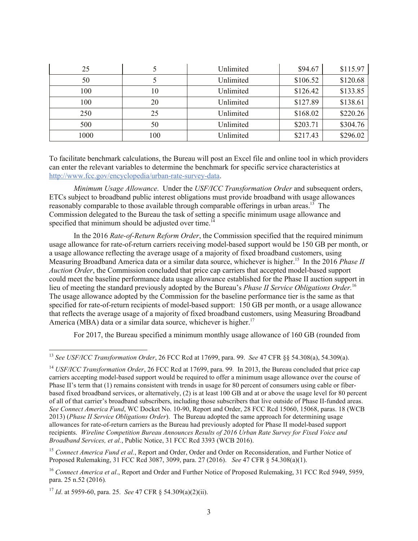| 25   |     | Unlimited | \$94.67  | \$115.97 |
|------|-----|-----------|----------|----------|
| 50   |     | Unlimited | \$106.52 | \$120.68 |
| 100  | 10  | Unlimited | \$126.42 | \$133.85 |
| 100  | 20  | Unlimited | \$127.89 | \$138.61 |
| 250  | 25  | Unlimited | \$168.02 | \$220.26 |
| 500  | 50  | Unlimited | \$203.71 | \$304.76 |
| 1000 | 100 | Unlimited | \$217.43 | \$296.02 |

To facilitate benchmark calculations, the Bureau will post an Excel file and online tool in which providers can enter the relevant variables to determine the benchmark for specific service characteristics at http://www.fcc.gov/encyclopedia/urban-rate-survey-data.

*Minimum Usage Allowance*. Under the *USF/ICC Transformation Order* and subsequent orders, ETCs subject to broadband public interest obligations must provide broadband with usage allowances reasonably comparable to those available through comparable offerings in urban areas.<sup>13</sup> The Commission delegated to the Bureau the task of setting a specific minimum usage allowance and specified that minimum should be adjusted over time.<sup>14</sup>

In the 2016 *Rate-of-Return Reform Order*, the Commission specified that the required minimum usage allowance for rate-of-return carriers receiving model-based support would be 150 GB per month, or a usage allowance reflecting the average usage of a majority of fixed broadband customers, using Measuring Broadband America data or a similar data source, whichever is higher. 15 In the 2016 *Phase II Auction Order*, the Commission concluded that price cap carriers that accepted model-based support could meet the baseline performance data usage allowance established for the Phase II auction support in lieu of meeting the standard previously adopted by the Bureau's *Phase II Service Obligations Order*.<sup>16</sup> The usage allowance adopted by the Commission for the baseline performance tier is the same as that specified for rate-of-return recipients of model-based support: 150 GB per month, or a usage allowance that reflects the average usage of a majority of fixed broadband customers, using Measuring Broadband America (MBA) data or a similar data source, whichever is higher.<sup>17</sup>

For 2017, the Bureau specified a minimum monthly usage allowance of 160 GB (rounded from

l

<sup>13</sup> *See USF/ICC Transformation Order*, 26 FCC Rcd at 17699, para. 99. *See* 47 CFR §§ 54.308(a), 54.309(a).

<sup>&</sup>lt;sup>14</sup> *USF/ICC Transformation Order*, 26 FCC Rcd at 17699, para, 99. In 2013, the Bureau concluded that price cap carriers accepting model-based support would be required to offer a minimum usage allowance over the course of Phase II's term that (1) remains consistent with trends in usage for 80 percent of consumers using cable or fiberbased fixed broadband services, or alternatively, (2) is at least 100 GB and at or above the usage level for 80 percent of all of that carrier's broadband subscribers, including those subscribers that live outside of Phase II-funded areas. *See Connect America Fund*, WC Docket No. 10-90, Report and Order, 28 FCC Rcd 15060, 15068, paras. 18 (WCB 2013) (*Phase II Service Obligations Order*). The Bureau adopted the same approach for determining usage allowances for rate-of-return carriers as the Bureau had previously adopted for Phase II model-based support recipients. *Wireline Competition Bureau Announces Results of 2016 Urban Rate Survey for Fixed Voice and Broadband Services, et al.*, Public Notice, 31 FCC Rcd 3393 (WCB 2016).

<sup>&</sup>lt;sup>15</sup> *Connect America Fund et al.*, Report and Order, Order and Order on Reconsideration, and Further Notice of Proposed Rulemaking, 31 FCC Rcd 3087, 3099, para. 27 (2016). *See* 47 CFR § 54.308(a)(1).

<sup>&</sup>lt;sup>16</sup> *Connect America et al.*, Report and Order and Further Notice of Proposed Rulemaking, 31 FCC Rcd 5949, 5959, para. 25 n.52 (2016)*.*

<sup>17</sup> *Id*. at 5959-60, para. 25. *See* 47 CFR § 54.309(a)(2)(ii).